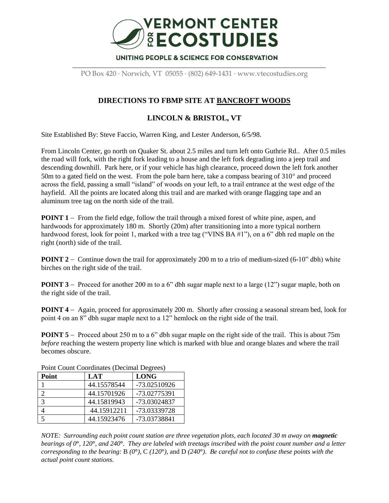

PO Box 420 · Norwich, VT 05055 · (802) 649-1431 · www.vtecostudies.org

## **DIRECTIONS TO FBMP SITE AT BANCROFT WOODS**

## **LINCOLN & BRISTOL, VT**

Site Established By: Steve Faccio, Warren King, and Lester Anderson, 6/5/98.

From Lincoln Center, go north on Quaker St. about 2.5 miles and turn left onto Guthrie Rd.. After 0.5 miles the road will fork, with the right fork leading to a house and the left fork degrading into a jeep trail and descending downhill. Park here, or if your vehicle has high clearance, proceed down the left fork another 50m to a gated field on the west. From the pole barn here, take a compass bearing of  $310^{\circ}$  and proceed across the field, passing a small "island" of woods on your left, to a trail entrance at the west edge of the hayfield. All the points are located along this trail and are marked with orange flagging tape and an aluminum tree tag on the north side of the trail.

**POINT 1** – From the field edge, follow the trail through a mixed forest of white pine, aspen, and hardwoods for approximately 180 m. Shortly (20m) after transitioning into a more typical northern hardwood forest, look for point 1, marked with a tree tag ("VINS BA #1"), on a 6" dbh red maple on the right (north) side of the trail.

**POINT 2** – Continue down the trail for approximately 200 m to a trio of medium-sized (6-10" dbh) white birches on the right side of the trail.

**POINT 3** – Proceed for another 200 m to a 6" dbh sugar maple next to a large (12") sugar maple, both on the right side of the trail.

**POINT 4** – Again, proceed for approximately 200 m. Shortly after crossing a seasonal stream bed, look for point 4 on an 8" dbh sugar maple next to a 12" hemlock on the right side of the trail.

**POINT 5** – Proceed about 250 m to a 6" dbh sugar maple on the right side of the trail. This is about 75m *before* reaching the western property line which is marked with blue and orange blazes and where the trail becomes obscure.

| Point | LAT         | <b>LONG</b>  |
|-------|-------------|--------------|
|       | 44.15578544 | -73.02510926 |
| ↑     | 44.15701926 | -73.02775391 |
| 3     | 44.15819943 | -73.03024837 |
|       | 44.15912211 | -73.03339728 |
| 5     | 44.15923476 | -73.03738841 |

Point Count Coordinates (Decimal Degrees)

*NOTE: Surrounding each point count station are three vegetation plots, each located 30 m away on magnetic bearings of 0***°***, 120***°***, and 240***°***. They are labeled with treetags inscribed with the point count number and a letter corresponding to the bearing:* B *(0***°***)*, C *(120***°***)*, and D *(240***°***)*. *Be careful not to confuse these points with the actual point count stations.*